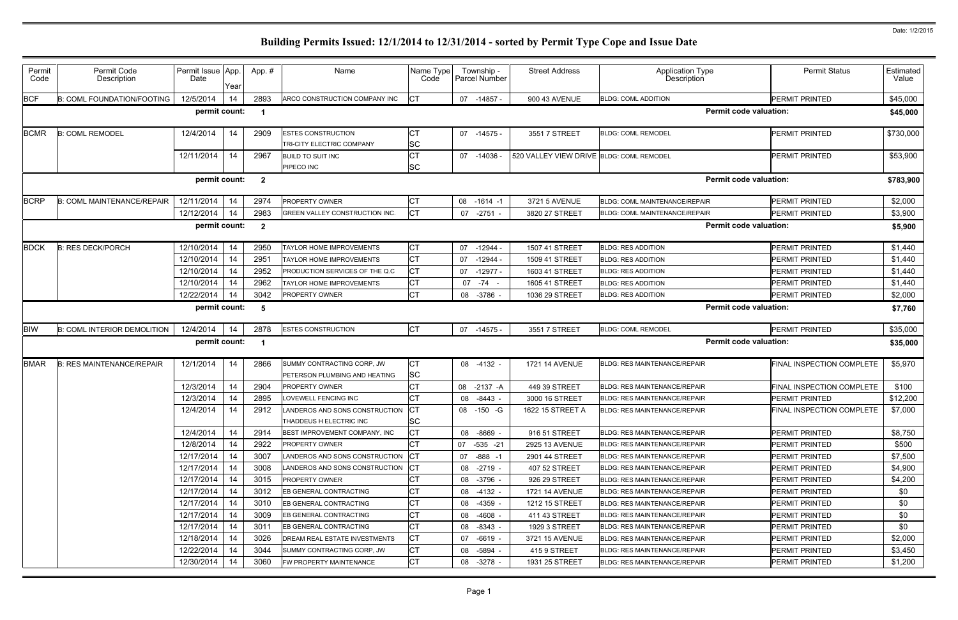| Permit<br>Code                                                                         | Permit Code<br>Description         | Permit Issue App.<br>Date | Year | App.#          | Name                                                         | Name Type<br>Code      | Township -<br><b>Parcel Number</b> | <b>Street Address</b>                    | <b>Application Type</b><br>Description | <b>Permit Status</b>          | Estimated<br>Value |  |  |
|----------------------------------------------------------------------------------------|------------------------------------|---------------------------|------|----------------|--------------------------------------------------------------|------------------------|------------------------------------|------------------------------------------|----------------------------------------|-------------------------------|--------------------|--|--|
| <b>BCF</b>                                                                             | <b>B: COML FOUNDATION/FOOTING</b>  | 12/5/2014                 | 14   | 2893           | ARCO CONSTRUCTION COMPANY INC                                | Iст                    | 07 -14857 -                        | 900 43 AVENUE                            | <b>BLDG: COML ADDITION</b>             | <b>PERMIT PRINTED</b>         | \$45,000           |  |  |
|                                                                                        |                                    | permit count:             |      | $\blacksquare$ |                                                              |                        |                                    |                                          |                                        | <b>Permit code valuation:</b> | \$45,000           |  |  |
| <b>BCMR</b>                                                                            | <b>B: COML REMODEL</b>             | 12/4/2014                 | 14   | 2909           | <b>ESTES CONSTRUCTION</b><br>TRI-CITY ELECTRIC COMPANY       | <b>CT</b><br>SC        | 07 -14575 -                        | 3551 7 STREET                            | <b>BLDG: COML REMODEL</b>              | <b>PERMIT PRINTED</b>         | \$730,000          |  |  |
|                                                                                        |                                    | 12/11/2014                | 14   | 2967           | <b>BUILD TO SUIT INC</b><br>PIPECO INC                       | <b>CT</b><br><b>SC</b> | 07 -14036                          | 520 VALLEY VIEW DRIVE BLDG: COML REMODEL |                                        | <b>PERMIT PRINTED</b>         | \$53,900           |  |  |
| permit count:<br><b>Permit code valuation:</b><br>$\overline{\mathbf{2}}$<br>\$783,900 |                                    |                           |      |                |                                                              |                        |                                    |                                          |                                        |                               |                    |  |  |
| <b>BCRP</b>                                                                            | <b>B: COML MAINTENANCE/REPAIR</b>  | 12/11/2014                | 14   | 2974           | <b>PROPERTY OWNER</b>                                        | <b>CT</b>              | 08<br>$-1614 - 1$                  | 3721 5 AVENUE                            | BLDG: COML MAINTENANCE/REPAIR          | <b>PERMIT PRINTED</b>         | \$2,000            |  |  |
|                                                                                        |                                    | 12/12/2014                | 14   | 2983           | <b>GREEN VALLEY CONSTRUCTION INC.</b>                        | IСТ                    | 07 -2751 -                         | 3820 27 STREET                           | BLDG: COML MAINTENANCE/REPAIR          | PERMIT PRINTED                | \$3,900            |  |  |
| permit count:<br><b>Permit code valuation:</b><br>$\overline{\mathbf{2}}$              |                                    |                           |      |                |                                                              |                        |                                    |                                          |                                        |                               |                    |  |  |
| <b>BDCK</b>                                                                            | <b>B: RES DECK/PORCH</b>           | 12/10/2014                | 14   | 2950           | <b>TAYLOR HOME IMPROVEMENTS</b>                              | <b>CT</b>              | 07<br>$-12944-$                    | 1507 41 STREET                           | <b>BLDG: RES ADDITION</b>              | <b>PERMIT PRINTED</b>         | \$1,440            |  |  |
|                                                                                        |                                    | 12/10/2014                | 14   | 2951           | TAYLOR HOME IMPROVEMENTS                                     | СT                     | -12944 -<br>07                     | 1509 41 STREET                           | <b>BLDG: RES ADDITION</b>              | <b>PERMIT PRINTED</b>         | \$1,440            |  |  |
|                                                                                        |                                    | 12/10/2014                | 14   | 2952           | PRODUCTION SERVICES OF THE Q.C                               | <b>CT</b>              | $-12977 -$<br>07                   | 1603 41 STREET                           | <b>BLDG: RES ADDITION</b>              | <b>PERMIT PRINTED</b>         | \$1,440            |  |  |
|                                                                                        |                                    | 12/10/2014                | 14   | 2962           | TAYLOR HOME IMPROVEMENTS                                     | <b>CT</b>              | 07 -74 -                           | 1605 41 STREET                           | <b>BLDG: RES ADDITION</b>              | <b>PERMIT PRINTED</b>         | \$1,440            |  |  |
|                                                                                        |                                    | 12/22/2014                | 14   | 3042           | <b>PROPERTY OWNER</b>                                        | <b>CT</b>              | $-3786 -$<br>08                    | 1036 29 STREET                           | <b>BLDG: RES ADDITION</b>              | <b>PERMIT PRINTED</b>         | \$2,000            |  |  |
| permit count:<br><b>Permit code valuation:</b><br>- 5                                  |                                    |                           |      |                |                                                              |                        |                                    |                                          |                                        |                               |                    |  |  |
| <b>BIW</b>                                                                             | <b>B: COML INTERIOR DEMOLITION</b> | 12/4/2014                 | 14   | 2878           | <b>ESTES CONSTRUCTION</b>                                    | <b>CT</b>              | 07 -14575 -                        | 3551 7 STREET                            | <b>BLDG: COML REMODEL</b>              | PERMIT PRINTED                | \$35,000           |  |  |
|                                                                                        |                                    | permit count:             |      | - 1            |                                                              |                        |                                    |                                          |                                        | <b>Permit code valuation:</b> | \$35,000           |  |  |
| <b>BMAR</b>                                                                            | <b>B: RES MAINTENANCE/REPAIR</b>   | 12/1/2014                 | 14   | 2866           | SUMMY CONTRACTING CORP, JW<br>PETERSON PLUMBING AND HEATING  | <b>CT</b><br><b>SC</b> | 08 -4132 -                         | 1721 14 AVENUE                           | <b>BLDG: RES MAINTENANCE/REPAIR</b>    | FINAL INSPECTION COMPLETE     | \$5,970            |  |  |
|                                                                                        |                                    | 12/3/2014                 | 14   | 2904           | <b>PROPERTY OWNER</b>                                        | <b>CT</b>              | 08 -2137 -A                        | 449 39 STREET                            | <b>BLDG: RES MAINTENANCE/REPAIR</b>    | FINAL INSPECTION COMPLETE     | \$100              |  |  |
|                                                                                        |                                    | 12/3/2014                 | 14   | 2895           | LOVEWELL FENCING INC                                         | <b>CT</b>              | $-8443 -$<br>08                    | 3000 16 STREET                           | <b>BLDG: RES MAINTENANCE/REPAIR</b>    | PERMIT PRINTED                | \$12,200           |  |  |
|                                                                                        |                                    | 12/4/2014                 | 14   | 2912           | LANDEROS AND SONS CONSTRUCTION CT<br>THADDEUS H ELECTRIC INC | <b>SC</b>              | 08 -150 -G                         | 1622 15 STREET A                         | <b>BLDG: RES MAINTENANCE/REPAIR</b>    | FINAL INSPECTION COMPLETE     | \$7,000            |  |  |
|                                                                                        |                                    | 12/4/2014                 | 14   | 2914           | BEST IMPROVEMENT COMPANY, INC.                               | <b>CT</b>              | 08 -8669 -                         | 916 51 STREET                            | <b>BLDG: RES MAINTENANCE/REPAIR</b>    | <b>PERMIT PRINTED</b>         | \$8,750            |  |  |
|                                                                                        |                                    | 12/8/2014                 | 14   | 2922           | <b>PROPERTY OWNER</b>                                        | <b>CT</b>              | 07 -535 -21                        | 2925 13 AVENUE                           | <b>BLDG: RES MAINTENANCE/REPAIR</b>    | <b>PERMIT PRINTED</b>         | \$500              |  |  |
|                                                                                        |                                    | 12/17/2014                | 14   | 3007           | LANDEROS AND SONS CONSTRUCTION                               | C                      | 07 -888 -1                         | 2901 44 STREET                           | <b>BLDG: RES MAINTENANCE/REPAIR</b>    | PERMIT PRINTED                | \$7,500            |  |  |
|                                                                                        |                                    | 12/17/2014                | 14   | 3008           | LANDEROS AND SONS CONSTRUCTION                               | <b>ICT</b>             | 08 -2719 -                         | 407 52 STREET                            | <b>BLDG: RES MAINTENANCE/REPAIR</b>    | <b>PERMIT PRINTED</b>         | \$4,900            |  |  |
|                                                                                        |                                    | 12/17/2014                | 14   | 3015           | <b>PROPERTY OWNER</b>                                        | <b>CT</b>              | 08 -3796 -                         | 926 29 STREET                            | <b>BLDG: RES MAINTENANCE/REPAIR</b>    | <b>PERMIT PRINTED</b>         | \$4,200            |  |  |
|                                                                                        |                                    | 12/17/2014                | 14   | 3012           | EB GENERAL CONTRACTING                                       | <b>CT</b>              | 08<br>-4132 -                      | <b>1721 14 AVENUE</b>                    | <b>BLDG: RES MAINTENANCE/REPAIR</b>    | PERMIT PRINTED                | \$0                |  |  |
|                                                                                        |                                    | 12/17/2014                | 14   | 3010           | EB GENERAL CONTRACTING                                       | <b>CT</b>              | 08 -4359 -                         | 1212 15 STREET                           | <b>BLDG: RES MAINTENANCE/REPAIR</b>    | PERMIT PRINTED                | \$0                |  |  |
|                                                                                        |                                    | 12/17/2014                | 14   | 3009           | EB GENERAL CONTRACTING                                       | <b>CT</b>              | $-4608$<br>08                      | 411 43 STREET                            | <b>BLDG: RES MAINTENANCE/REPAIR</b>    | <b>PERMIT PRINTED</b>         | \$0                |  |  |
|                                                                                        |                                    | 12/17/2014                | 14   | 3011           | EB GENERAL CONTRACTING                                       | <b>CT</b>              | 08 -8343 -                         | 1929 3 STREET                            | <b>BLDG: RES MAINTENANCE/REPAIR</b>    | PERMIT PRINTED                | \$0                |  |  |
|                                                                                        |                                    | 12/18/2014                | 14   | 3026           | DREAM REAL ESTATE INVESTMENTS                                | <b>CT</b>              | $-6619 -$<br>07                    | 3721 15 AVENUE                           | <b>BLDG: RES MAINTENANCE/REPAIR</b>    | PERMIT PRINTED                | \$2,000            |  |  |
|                                                                                        |                                    | 12/22/2014                | 14   | 3044           | SUMMY CONTRACTING CORP, JW                                   | <b>CT</b>              | 08 -5894 -                         | 415 9 STREET                             | <b>BLDG: RES MAINTENANCE/REPAIR</b>    | <b>PERMIT PRINTED</b>         | \$3,450            |  |  |
|                                                                                        |                                    | 12/30/2014                | 14   | 3060           | FW PROPERTY MAINTENANCE                                      | <b>CT</b>              | 08<br>$-3278$ -                    | 1931 25 STREET                           | <b>BLDG: RES MAINTENANCE/REPAIR</b>    | PERMIT PRINTED                | \$1,200            |  |  |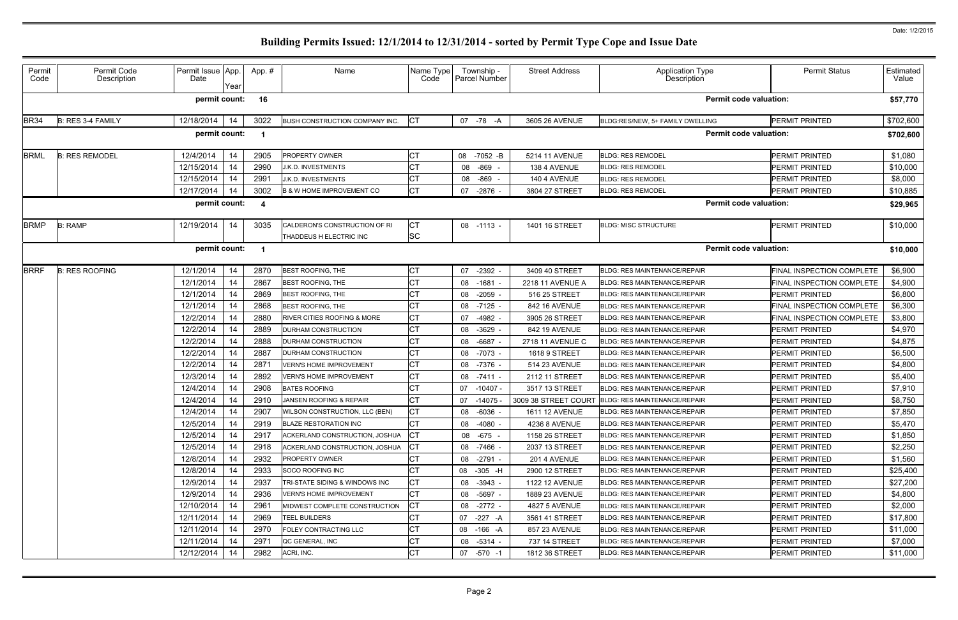| Permit<br>Code                                        | Permit Code<br>Description | Permit Issue App.<br>Date | Year | App.# | Name                                   | Name Type<br>Code | Township -<br>Parcel Number | <b>Street Address</b> | <b>Application Type</b><br>Description | <b>Permit Status</b>      | Estimated<br>Value |
|-------------------------------------------------------|----------------------------|---------------------------|------|-------|----------------------------------------|-------------------|-----------------------------|-----------------------|----------------------------------------|---------------------------|--------------------|
|                                                       |                            | permit count:             |      | 16    |                                        |                   |                             |                       | <b>Permit code valuation:</b>          |                           | \$57,770           |
| <b>BR34</b>                                           | B: RES 3-4 FAMILY          | 12/18/2014                | 14   | 3022  | BUSH CONSTRUCTION COMPANY INC.         | <b>CT</b>         | 07 -78<br>-A                | 3605 26 AVENUE        | BLDG:RES/NEW, 5+ FAMILY DWELLING       | PERMIT PRINTED            | \$702,600          |
|                                                       |                            | permit count:             |      |       |                                        |                   |                             |                       | <b>Permit code valuation:</b>          |                           | \$702,600          |
| <b>BRML</b>                                           | <b>B: RES REMODEL</b>      | 12/4/2014                 | 14   | 2905  | PROPERTY OWNER                         | СT                | 08 -7052 -B                 | 5214 11 AVENUE        | <b>BLDG: RES REMODEL</b>               | PERMIT PRINTED            | \$1,080            |
|                                                       |                            | 12/15/2014                | 14   | 2990  | J.K.D. INVESTMENTS                     | <b>CT</b>         | -869<br>08                  | 138 4 AVENUE          | <b>BLDG: RES REMODEL</b>               | PERMIT PRINTED            | \$10,000           |
|                                                       |                            | 12/15/2014                | 14   | 2991  | J.K.D. INVESTMENTS                     | СT                | -869<br>08                  | 140 4 AVENUE          | <b>BLDG: RES REMODEL</b>               | PERMIT PRINTED            | \$8,000            |
|                                                       |                            | 12/17/2014                | 14   | 3002  | B & W HOME IMPROVEMENT CO              | <b>CT</b>         | 07<br>$-2876$ .             | 3804 27 STREET        | <b>BLDG: RES REMODEL</b>               | <b>PERMIT PRINTED</b>     | \$10,885           |
| <b>Permit code valuation:</b><br>permit count:<br>- 4 |                            |                           |      |       |                                        |                   |                             |                       |                                        |                           | \$29,965           |
| <b>BRMP</b>                                           | <b>B: RAMP</b>             | 12/19/2014                | 14   | 3035  | CALDERON'S CONSTRUCTION OF RI          | <b>CT</b>         | 08 -1113 -                  | 1401 16 STREET        | <b>BLDG: MISC STRUCTURE</b>            | <b>PERMIT PRINTED</b>     | \$10,000           |
|                                                       |                            |                           |      |       | THADDEUS H ELECTRIC INC                | <b>SC</b>         |                             |                       |                                        |                           |                    |
|                                                       |                            | permit count:             |      |       |                                        |                   |                             |                       | <b>Permit code valuation:</b>          |                           | \$10,000           |
| <b>BRRF</b>                                           | <b>B: RES ROOFING</b>      | 12/1/2014                 | 14   | 2870  | <b>BEST ROOFING, THE</b>               | СT                | 07<br>$-2392 -$             | 3409 40 STREET        | <b>BLDG: RES MAINTENANCE/REPAIR</b>    | FINAL INSPECTION COMPLETE | \$6,900            |
|                                                       |                            | 12/1/2014                 | 14   | 2867  | <b>BEST ROOFING, THE</b>               | <b>CT</b>         | $-1681$<br>08               | 2218 11 AVENUE A      | <b>BLDG: RES MAINTENANCE/REPAIR</b>    | FINAL INSPECTION COMPLETE | \$4,900            |
|                                                       |                            | 12/1/2014                 | 14   | 2869  | BEST ROOFING, THE                      | <b>CT</b>         | 08<br>$-2059$               | 516 25 STREET         | <b>BLDG: RES MAINTENANCE/REPAIR</b>    | PERMIT PRINTED            | \$6,800            |
|                                                       |                            | 12/1/2014                 | 14   | 2868  | <b>BEST ROOFING, THE</b>               | <b>CT</b>         | $-7125$<br>08               | 842 16 AVENUE         | <b>BLDG: RES MAINTENANCE/REPAIR</b>    | FINAL INSPECTION COMPLETE | \$6,300            |
|                                                       |                            | 12/2/2014                 | 14   | 2880  | <b>RIVER CITIES ROOFING &amp; MORE</b> | <b>CT</b>         | 07<br>$-4982 -$             | 3905 26 STREET        | <b>BLDG: RES MAINTENANCE/REPAIR</b>    | FINAL INSPECTION COMPLETE | \$3,800            |
|                                                       |                            | 12/2/2014                 | 14   | 2889  | <b>DURHAM CONSTRUCTION</b>             | <b>CT</b>         | $-3629$<br>08               | 842 19 AVENUE         | <b>BLDG: RES MAINTENANCE/REPAIR</b>    | PERMIT PRINTED            | \$4,970            |
|                                                       |                            | 12/2/2014                 | 14   | 2888  | DURHAM CONSTRUCTION                    | <b>CT</b>         | 08<br>$-6687 -$             | 2718 11 AVENUE C      | <b>BLDG: RES MAINTENANCE/REPAIR</b>    | PERMIT PRINTED            | \$4,875            |
|                                                       |                            | 12/2/2014                 | 14   | 2887  | <b>DURHAM CONSTRUCTION</b>             | <b>CT</b>         | $-7073$ -<br>08             | <b>1618 9 STREET</b>  | <b>BLDG: RES MAINTENANCE/REPAIR</b>    | PERMIT PRINTED            | \$6,500            |
|                                                       |                            | 12/2/2014                 | 14   | 2871  | <b>VERN'S HOME IMPROVEMENT</b>         | <b>CT</b>         | 08<br>-7376 -               | 514 23 AVENUE         | <b>BLDG: RES MAINTENANCE/REPAIR</b>    | PERMIT PRINTED            | \$4,800            |
|                                                       |                            | 12/3/2014                 | 14   | 2892  | <b>VERN'S HOME IMPROVEMENT</b>         | <b>CT</b>         | $-7411 -$<br>08             | 2112 11 STREET        | <b>BLDG: RES MAINTENANCE/REPAIR</b>    | PERMIT PRINTED            | \$5,400            |
|                                                       |                            | 12/4/2014                 | 14   | 2908  | <b>BATES ROOFING</b>                   | CT                | $-10407 -$<br>07            | 3517 13 STREET        | <b>BLDG: RES MAINTENANCE/REPAIR</b>    | PERMIT PRINTED            | \$7,910            |
|                                                       |                            | 12/4/2014                 | 14   | 2910  | JANSEN ROOFING & REPAIR                | <b>CT</b>         | 07<br>$-14075$              | 3009 38 STREET COURT  | <b>BLDG: RES MAINTENANCE/REPAIR</b>    | PERMIT PRINTED            | \$8,750            |
|                                                       |                            | 12/4/2014                 | 14   | 2907  | WILSON CONSTRUCTION, LLC (BEN)         | <b>CT</b>         | 08 -6036                    | 1611 12 AVENUE        | BLDG: RES MAINTENANCE/REPAIR           | <b>PERMIT PRINTED</b>     | \$7,850            |
|                                                       |                            | 12/5/2014                 | 14   | 2919  | <b>BLAZE RESTORATION INC</b>           | CT                | 08 -4080 -                  | 4236 8 AVENUE         | <b>BLDG: RES MAINTENANCE/REPAIR</b>    | <b>PERMIT PRINTED</b>     | \$5,470            |
|                                                       |                            | 12/5/2014                 | 14   | 2917  | ACKERLAND CONSTRUCTION, JOSHUA         | <b>CT</b>         | 08 -675 -                   | 1158 26 STREET        | <b>BLDG: RES MAINTENANCE/REPAIR</b>    | PERMIT PRINTED            | \$1,850            |
|                                                       |                            | 12/5/2014                 | 14   | 2918  | ACKERLAND CONSTRUCTION, JOSHUA         | <b>CT</b>         | 08 -7466 -                  | 2037 13 STREET        | <b>BLDG: RES MAINTENANCE/REPAIR</b>    | PERMIT PRINTED            | \$2,250            |
|                                                       |                            | 12/8/2014                 | 14   | 2932  | <b>PROPERTY OWNER</b>                  | <b>CT</b>         | 08 -2791 -                  | 201 4 AVENUE          | <b>BLDG: RES MAINTENANCE/REPAIR</b>    | PERMIT PRINTED            | \$1,560            |
|                                                       |                            | 12/8/2014                 | 14   | 2933  | SOCO ROOFING INC                       | СT                | 08 -305 -H                  | 2900 12 STREET        | <b>BLDG: RES MAINTENANCE/REPAIR</b>    | PERMIT PRINTED            | \$25,400           |
|                                                       |                            | 12/9/2014                 | 14   | 2937  | TRI-STATE SIDING & WINDOWS INC         | <b>CT</b>         | 08 -3943 -                  | <b>1122 12 AVENUE</b> | <b>BLDG: RES MAINTENANCE/REPAIR</b>    | PERMIT PRINTED            | \$27,200           |
|                                                       |                            | 12/9/2014                 | 14   | 2936  | <b>VERN'S HOME IMPROVEMENT</b>         | <b>CT</b>         | 08 -5697 -                  | 1889 23 AVENUE        | <b>BLDG: RES MAINTENANCE/REPAIR</b>    | PERMIT PRINTED            | \$4,800            |
|                                                       |                            | 12/10/2014                | 14   | 2961  | MIDWEST COMPLETE CONSTRUCTION          | <b>CT</b>         | 08 -2772 -                  | <b>4827 5 AVENUE</b>  | BLDG: RES MAINTENANCE/REPAIR           | PERMIT PRINTED            | \$2,000            |
|                                                       |                            | 12/11/2014                | 14   | 2969  | TEEL BUILDERS                          | <b>CT</b>         | 07 -227 -A                  | 3561 41 STREET        | <b>BLDG: RES MAINTENANCE/REPAIR</b>    | PERMIT PRINTED            | \$17,800           |
|                                                       |                            | 12/11/2014                | 14   | 2970  | <b>FOLEY CONTRACTING LLC</b>           | <b>CT</b>         | 08 -166 -A                  | 857 23 AVENUE         | <b>BLDG: RES MAINTENANCE/REPAIR</b>    | PERMIT PRINTED            | \$11,000           |
|                                                       |                            | 12/11/2014                | 14   | 2971  | QC GENERAL, INC                        | CT                | 08 -5314 -                  | 737 14 STREET         | <b>BLDG: RES MAINTENANCE/REPAIR</b>    | PERMIT PRINTED            | \$7,000            |
|                                                       |                            | 12/12/2014                | 14   | 2982  | ACRI, INC.                             | <b>CT</b>         | 07 -570 -1                  | 1812 36 STREET        | BLDG: RES MAINTENANCE/REPAIR           | <b>PERMIT PRINTED</b>     | \$11,000           |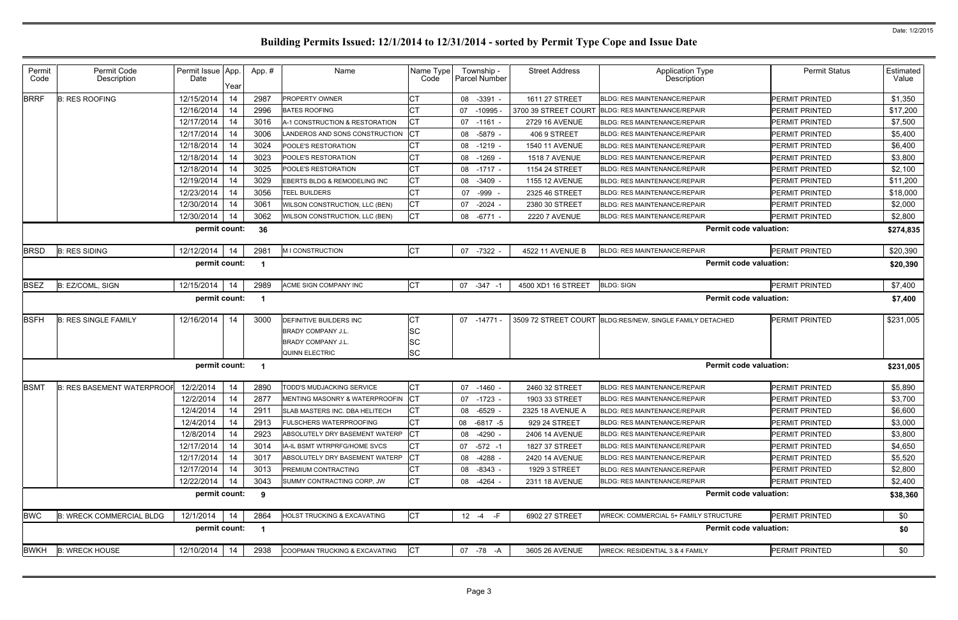| Permit<br>Code | Permit Code<br>Description        | Permit Issue App.<br>Date<br>Year | App.#          | Name                                  | Name Type<br>Code | Township -<br>Parcel Number | <b>Street Address</b> | Application Type<br>Description              | <b>Permit Status</b>  | Estimated<br>Value |
|----------------|-----------------------------------|-----------------------------------|----------------|---------------------------------------|-------------------|-----------------------------|-----------------------|----------------------------------------------|-----------------------|--------------------|
| <b>BRRF</b>    | <b>B: RES ROOFING</b>             | 12/15/2014<br>14                  | 2987           | <b>PROPERTY OWNER</b>                 | СT                | 08 -3391                    | 1611 27 STREET        | <b>BLDG: RES MAINTENANCE/REPAIR</b>          | <b>PERMIT PRINTED</b> | \$1,350            |
|                |                                   | 12/16/2014<br>14                  | 2996           | <b>BATES ROOFING</b>                  | СT                | 07<br>$-10995$              | 3700 39 STREET COURT  | <b>BLDG: RES MAINTENANCE/REPAIR</b>          | PERMIT PRINTED        | \$17,200           |
|                |                                   | 12/17/2014<br>14                  | 3016           | A-1 CONSTRUCTION & RESTORATION        | СT                | 07 -1161                    | 2729 16 AVENUE        | <b>BLDG: RES MAINTENANCE/REPAIR</b>          | <b>PERMIT PRINTED</b> | \$7,500            |
|                |                                   | 12/17/2014<br>14                  | 3006           | LANDEROS AND SONS CONSTRUCTION        | CT                | 08 -5879                    | 406 9 STREET          | <b>BLDG: RES MAINTENANCE/REPAIR</b>          | <b>PERMIT PRINTED</b> | \$5,400            |
|                |                                   | 12/18/2014<br>14                  | 3024           | <b>POOLE'S RESTORATION</b>            | СT                | 08 -1219                    | 1540 11 AVENUE        | <b>BLDG: RES MAINTENANCE/REPAIR</b>          | <b>PERMIT PRINTED</b> | \$6,400            |
|                |                                   | 12/18/2014<br>14                  | 3023           | <b>POOLE'S RESTORATION</b>            | СT                | 08<br>$-1269$               | <b>1518 7 AVENUE</b>  | <b>BLDG: RES MAINTENANCE/REPAIR</b>          | PERMIT PRINTED        | \$3,800            |
|                |                                   | 12/18/2014<br>14                  | 3025           | <b>POOLE'S RESTORATION</b>            | СT                | 08 -1717 -                  | 1154 24 STREET        | <b>BLDG: RES MAINTENANCE/REPAIR</b>          | <b>PERMIT PRINTED</b> | \$2,100            |
|                |                                   | 12/19/2014<br>14                  | 3029           | EBERTS BLDG & REMODELING INC          | СT                | 08 -3409                    | <b>1155 12 AVENUE</b> | <b>BLDG: RES MAINTENANCE/REPAIR</b>          | PERMIT PRINTED        | \$11,200           |
|                |                                   | 12/23/2014<br>14                  | 3056           | <b>TEEL BUILDERS</b>                  | СT                | -999<br>07                  | 2325 46 STREET        | <b>BLDG: RES MAINTENANCE/REPAIR</b>          | <b>PERMIT PRINTED</b> | \$18,000           |
|                |                                   | 12/30/2014<br>14                  | 306'           | WILSON CONSTRUCTION, LLC (BEN)        | СT                | $-2024$<br>07               | 2380 30 STREET        | <b>BLDG: RES MAINTENANCE/REPAIR</b>          | PERMIT PRINTED        | \$2,000            |
|                |                                   | 12/30/2014<br>14                  | 3062           | WILSON CONSTRUCTION, LLC (BEN)        | <b>CT</b>         | 08 - 6771                   | <b>2220 7 AVENUE</b>  | BLDG: RES MAINTENANCE/REPAIR                 | PERMIT PRINTED        | \$2,800            |
|                |                                   | permit count:                     | 36             |                                       |                   |                             |                       | <b>Permit code valuation:</b>                |                       | \$274,835          |
| <b>BRSD</b>    | <b>B: RES SIDING</b>              | 12/12/2014<br>14                  | 2981           | <b>MICONSTRUCTION</b>                 | <b>CT</b>         | 07 -7322                    | 4522 11 AVENUE B      | <b>BLDG: RES MAINTENANCE/REPAIR</b>          | <b>PERMIT PRINTED</b> | \$20,390           |
|                |                                   | permit count:                     |                |                                       |                   |                             |                       | <b>Permit code valuation:</b>                |                       | \$20,390           |
| <b>BSEZ</b>    | B: EZ/COML, SIGN                  | 12/15/2014<br>14                  | 2989           | ACME SIGN COMPANY INC                 | <b>CT</b>         | 07 -347                     | 4500 XD1 16 STREET    | <b>BLDG: SIGN</b>                            | PERMIT PRINTED        | \$7,400            |
|                |                                   | permit count:                     | -1             |                                       |                   |                             |                       | <b>Permit code valuation:</b>                |                       | \$7,400            |
| <b>BSFH</b>    | <b>B: RES SINGLE FAMILY</b>       | 12/16/2014<br>14                  | 3000           | DEFINITIVE BUILDERS INC               | СT                | 07 -14771                   | 3509 72 STREET COURT  | BLDG:RES/NEW, SINGLE FAMILY DETACHED         | <b>PERMIT PRINTED</b> | \$231,005          |
|                |                                   |                                   |                | <b>BRADY COMPANY J.L.</b>             | SC                |                             |                       |                                              |                       |                    |
|                |                                   |                                   |                | <b>BRADY COMPANY J.L</b>              | SC                |                             |                       |                                              |                       |                    |
|                |                                   |                                   |                | <b>QUINN ELECTRIC</b>                 | SC                |                             |                       |                                              |                       |                    |
|                |                                   | permit count:                     | - 1            |                                       |                   |                             |                       | <b>Permit code valuation:</b>                |                       | \$231,005          |
| <b>BSMT</b>    | <b>B: RES BASEMENT WATERPROOF</b> | 12/2/2014<br>14                   | 2890           | TODD'S MUDJACKING SERVICE             | <b>CT</b>         | -1460<br>07                 | 2460 32 STREET        | <b>BLDG: RES MAINTENANCE/REPAIR</b>          | <b>PERMIT PRINTED</b> | \$5,890            |
|                |                                   | 12/2/2014<br>14                   | 2877           | MENTING MASONRY & WATERPROOFIN CT     |                   | 07 -1723                    | 1903 33 STREET        | <b>BLDG: RES MAINTENANCE/REPAIR</b>          | <b>PERMIT PRINTED</b> | \$3,700            |
|                |                                   | 12/4/2014<br>14                   | 2911           | <b>SLAB MASTERS INC. DBA HELITECH</b> | <b>ICT</b>        | 08 -6529                    | 2325 18 AVENUE A      | <b>BLDG: RES MAINTENANCE/REPAIR</b>          | <b>PERMIT PRINTED</b> | \$6,600            |
|                |                                   | 12/4/2014<br>14                   | 2913           | <b>FULSCHERS WATERPROOFING</b>        | <b>CT</b>         | 08 -6817 -5                 | 929 24 STREET         | <b>BLDG: RES MAINTENANCE/REPAIR</b>          | PERMIT PRINTED        | \$3,000            |
|                |                                   | 12/8/2014<br>14                   | 2923           | ABSOLUTELY DRY BASEMENT WATERP        | СT                | 08 -4290 -                  | 2406 14 AVENUE        | <b>BLDG: RES MAINTENANCE/REPAIR</b>          | PERMIT PRINTED        | \$3,800            |
|                |                                   | 12/17/2014<br>14                  | 3014           | IA-IL BSMT WTRPRFG/HOME SVCS          | <b>CT</b>         | 07 -572 -1                  | 1827 37 STREET        | BLDG: RES MAINTENANCE/REPAIR                 | <b>PERMIT PRINTED</b> | \$4,650            |
|                |                                   | 12/17/2014<br>14                  | 3017           | ABSOLUTELY DRY BASEMENT WATERP        | СT                | 08 -4288 -                  | 2420 14 AVENUE        | <b>BLDG: RES MAINTENANCE/REPAIR</b>          | PERMIT PRINTED        | \$5,520            |
|                |                                   | 12/17/2014<br>14                  | 3013           | <b>PREMIUM CONTRACTING</b>            | СT                | 08 -8343 -                  | 1929 3 STREET         | <b>BLDG: RES MAINTENANCE/REPAIR</b>          | PERMIT PRINTED        | \$2,800            |
|                |                                   | 12/22/2014<br>14                  | 3043           | SUMMY CONTRACTING CORP, JW            | <b>CT</b>         | 08 -4264 -                  | 2311 18 AVENUE        | <b>BLDG: RES MAINTENANCE/REPAIR</b>          | PERMIT PRINTED        | \$2,400            |
|                |                                   | permit count:                     | 9              |                                       |                   |                             |                       | <b>Permit code valuation:</b>                |                       | \$38,360           |
| <b>BWC</b>     | <b>B: WRECK COMMERCIAL BLDG</b>   | 12/1/2014<br>14                   | 2864           | HOLST TRUCKING & EXCAVATING           | <b>CT</b>         | $12 - 4 - F$                | 6902 27 STREET        | <b>WRECK: COMMERCIAL 5+ FAMILY STRUCTURE</b> | <b>PERMIT PRINTED</b> | \$0                |
|                |                                   | permit count:                     | $\blacksquare$ |                                       |                   |                             |                       | <b>Permit code valuation:</b>                |                       | \$0                |
| BWKH           | <b>B: WRECK HOUSE</b>             | 12/10/2014<br>14                  | 2938           | COOPMAN TRUCKING & EXCAVATING         | <b>CT</b>         | 07 -78 -A                   | 3605 26 AVENUE        | WRECK: RESIDENTIAL 3 & 4 FAMILY              | <b>PERMIT PRINTED</b> | \$0                |
|                |                                   |                                   |                |                                       |                   |                             |                       |                                              |                       |                    |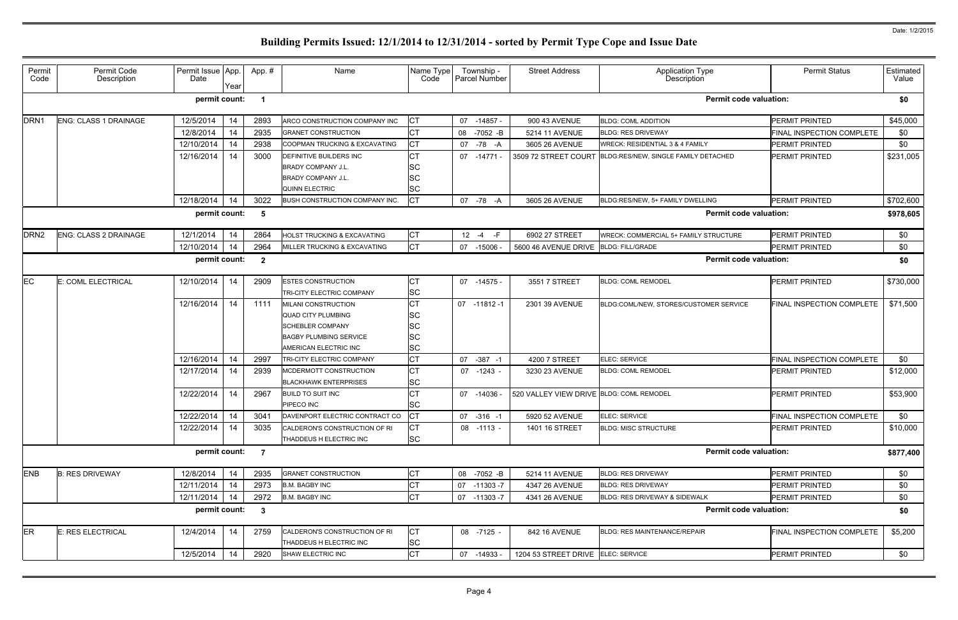| Permit<br>Code   | Permit Code<br>Description   | Permit Issue App.<br>Date | Year     | App.#                   | Name                                         | Name Type<br>Code | Township -<br>Parcel Number | <b>Street Address</b>                    | <b>Application Type</b><br>Description       | <b>Permit Status</b>                               | Estimated<br>Value |
|------------------|------------------------------|---------------------------|----------|-------------------------|----------------------------------------------|-------------------|-----------------------------|------------------------------------------|----------------------------------------------|----------------------------------------------------|--------------------|
|                  |                              | permit count:             |          |                         |                                              |                   |                             |                                          | <b>Permit code valuation:</b>                |                                                    | \$0                |
| DRN <sub>1</sub> | <b>ENG: CLASS 1 DRAINAGE</b> | 12/5/2014                 | 14       | 2893                    | ARCO CONSTRUCTION COMPANY INC                | <b>CT</b>         | 07 -14857 -                 | 900 43 AVENUE                            | <b>BLDG: COML ADDITION</b>                   | <b>PERMIT PRINTED</b>                              | \$45,000           |
|                  |                              | 12/8/2014                 | 14       | 2935                    | <b>GRANET CONSTRUCTION</b>                   | <b>CT</b>         | 08 -7052 -B                 | 5214 11 AVENUE                           | <b>BLDG: RES DRIVEWAY</b>                    | FINAL INSPECTION COMPLETE                          | \$0                |
|                  |                              | 12/10/2014                | 14       | 2938                    | COOPMAN TRUCKING & EXCAVATING                | <b>CT</b>         | 07<br>-78 -A                | 3605 26 AVENUE                           | <b>WRECK: RESIDENTIAL 3 &amp; 4 FAMILY</b>   | <b>PERMIT PRINTED</b>                              | \$0                |
|                  |                              | 12/16/2014                | 14       | 3000                    | <b>DEFINITIVE BUILDERS INC</b>               | <b>CT</b>         | 07 -14771 -                 | 3509 72 STREET COURT                     | BLDG:RES/NEW, SINGLE FAMILY DETACHED         | <b>PERMIT PRINTED</b>                              | \$231,005          |
|                  |                              |                           |          |                         | <b>BRADY COMPANY J.L.</b>                    | <b>SC</b>         |                             |                                          |                                              |                                                    |                    |
|                  |                              |                           |          |                         | <b>BRADY COMPANY J.L.</b>                    | lSC               |                             |                                          |                                              |                                                    |                    |
|                  |                              |                           |          |                         | <b>QUINN ELECTRIC</b>                        | <b>SC</b>         |                             |                                          |                                              |                                                    |                    |
|                  |                              | 12/18/2014                | 14       | 3022                    | BUSH CONSTRUCTION COMPANY INC.               | Iст               | 07<br>-78<br>-A             | 3605 26 AVENUE                           | BLDG:RES/NEW, 5+ FAMILY DWELLING             | <b>PERMIT PRINTED</b>                              | \$702,600          |
|                  |                              | permit count:             |          | 5                       |                                              |                   |                             |                                          | <b>Permit code valuation:</b>                |                                                    | \$978,605          |
| DRN <sub>2</sub> | <b>ENG: CLASS 2 DRAINAGE</b> | 12/1/2014                 | 14       | 2864                    | HOLST TRUCKING & EXCAVATING                  | <b>CT</b>         | $12 - 4$<br>$-F$            | 6902 27 STREET                           | <b>WRECK: COMMERCIAL 5+ FAMILY STRUCTURE</b> | <b>PERMIT PRINTED</b>                              | \$0                |
|                  |                              | 12/10/2014                | 14       | 2964                    | MILLER TRUCKING & EXCAVATING                 | <b>CT</b>         | 07<br>$-15006 -$            | 5600 46 AVENUE DRIVE                     | <b>BLDG: FILL/GRADE</b>                      | PERMIT PRINTED                                     | \$0                |
|                  |                              | permit count:             |          | $\overline{\mathbf{2}}$ |                                              |                   |                             |                                          | <b>Permit code valuation:</b>                |                                                    | \$0                |
| <b>EC</b>        | E: COML ELECTRICAL           | 12/10/2014                | 14       | 2909                    | <b>ESTES CONSTRUCTION</b>                    | <b>CT</b>         | 07 -14575 -                 | 3551 7 STREET                            | <b>BLDG: COML REMODEL</b>                    | PERMIT PRINTED                                     | \$730,000          |
|                  |                              |                           |          |                         | <b>TRI-CITY ELECTRIC COMPANY</b>             | <b>SC</b>         |                             |                                          |                                              |                                                    |                    |
|                  |                              | 12/16/2014                | 14       | 1111                    | MILANI CONSTRUCTION                          | <b>CT</b>         | 07 -11812 -1                | 2301 39 AVENUE                           | BLDG:COML/NEW, STORES/CUSTOMER SERVICE       | FINAL INSPECTION COMPLETE                          | \$71,500           |
|                  |                              |                           |          |                         | QUAD CITY PLUMBING                           | <b>SC</b>         |                             |                                          |                                              |                                                    |                    |
|                  |                              |                           |          |                         | <b>SCHEBLER COMPANY</b>                      | <b>SC</b>         |                             |                                          |                                              |                                                    |                    |
|                  |                              |                           |          |                         | <b>BAGBY PLUMBING SERVICE</b>                | <b>SC</b>         |                             |                                          |                                              |                                                    |                    |
|                  |                              |                           |          |                         | AMERICAN ELECTRIC INC                        | <b>SC</b>         |                             |                                          |                                              |                                                    |                    |
|                  |                              | 12/16/2014                | 14       | 2997                    | TRI-CITY ELECTRIC COMPANY                    | <b>CT</b>         | 07 -387 -1                  | 4200 7 STREET                            | ELEC: SERVICE                                | <b>FINAL INSPECTION COMPLETE</b>                   | \$0                |
|                  |                              | 12/17/2014                | 14       | 2939                    | MCDERMOTT CONSTRUCTION                       | <b>CT</b>         | 07 -1243 -                  | 3230 23 AVENUE                           | <b>BLDG: COML REMODEL</b>                    | <b>PERMIT PRINTED</b>                              | \$12,000           |
|                  |                              |                           |          |                         | <b>BLACKHAWK ENTERPRISES</b>                 | <b>SC</b>         |                             |                                          |                                              |                                                    |                    |
|                  |                              | 12/22/2014                | 14       | 2967                    | <b>BUILD TO SUIT INC</b>                     | <b>CT</b>         | 07 -14036                   | 520 VALLEY VIEW DRIVE BLDG: COML REMODEL |                                              | <b>PERMIT PRINTED</b>                              | \$53,900           |
|                  |                              | 12/22/2014                |          | 3041                    | PIPECO INC<br>DAVENPORT ELECTRIC CONTRACT CO | <b>SC</b><br> CT  |                             |                                          | ELEC: SERVICE                                |                                                    |                    |
|                  |                              | 12/22/2014                | 14<br>14 | 3035                    | CALDERON'S CONSTRUCTION OF RI                | <b>CT</b>         | 07 -316 -1<br>08 -1113 -    | 5920 52 AVENUE<br>1401 16 STREET         | <b>BLDG: MISC STRUCTURE</b>                  | FINAL INSPECTION COMPLETE<br><b>PERMIT PRINTED</b> | \$0<br>\$10,000    |
|                  |                              |                           |          |                         | THADDEUS H ELECTRIC INC                      | <b>SC</b>         |                             |                                          |                                              |                                                    |                    |
|                  |                              | permit count:             |          | $\overline{7}$          |                                              |                   |                             |                                          | <b>Permit code valuation:</b>                |                                                    | \$877,400          |
| <b>ENB</b>       | <b>B: RES DRIVEWAY</b>       | 12/8/2014                 | 14       | 2935                    | <b>GRANET CONSTRUCTION</b>                   | <b>CT</b>         | 08 -7052 -B                 | 5214 11 AVENUE                           | <b>BLDG: RES DRIVEWAY</b>                    | PERMIT PRINTED                                     | \$0                |
|                  |                              | 12/11/2014                | 14       | 2973                    | <b>B.M. BAGBY INC</b>                        | <b>CT</b>         | 07 -11303 -7                | 4347 26 AVENUE                           | <b>BLDG: RES DRIVEWAY</b>                    | <b>PERMIT PRINTED</b>                              | \$0                |
|                  |                              | 12/11/2014                | 14       | 2972                    | <b>B.M. BAGBY INC</b>                        | <b>CT</b>         | 07 -11303 -7                | 4341 26 AVENUE                           | BLDG: RES DRIVEWAY & SIDEWALK                | PERMIT PRINTED                                     | \$0                |
|                  |                              | permit count:             |          | $\overline{\mathbf{3}}$ |                                              |                   |                             |                                          | <b>Permit code valuation:</b>                |                                                    | \$0                |
| ER               | E: RES ELECTRICAL            | 12/4/2014                 | 14       | 2759                    | CALDERON'S CONSTRUCTION OF RI                | <b>CT</b>         | 08 -7125 -                  | 842 16 AVENUE                            | <b>BLDG: RES MAINTENANCE/REPAIR</b>          | FINAL INSPECTION COMPLETE                          | \$5,200            |
|                  |                              |                           |          |                         | THADDEUS H ELECTRIC INC                      | <b>SC</b>         |                             |                                          |                                              |                                                    |                    |
|                  |                              | 12/5/2014                 | 14       | 2920                    | SHAW ELECTRIC INC                            | <b>CT</b>         | 07 -14933 -                 | 1204 53 STREET DRIVE ELEC: SERVICE       |                                              | PERMIT PRINTED                                     | \$0                |
|                  |                              |                           |          |                         |                                              |                   |                             |                                          |                                              |                                                    |                    |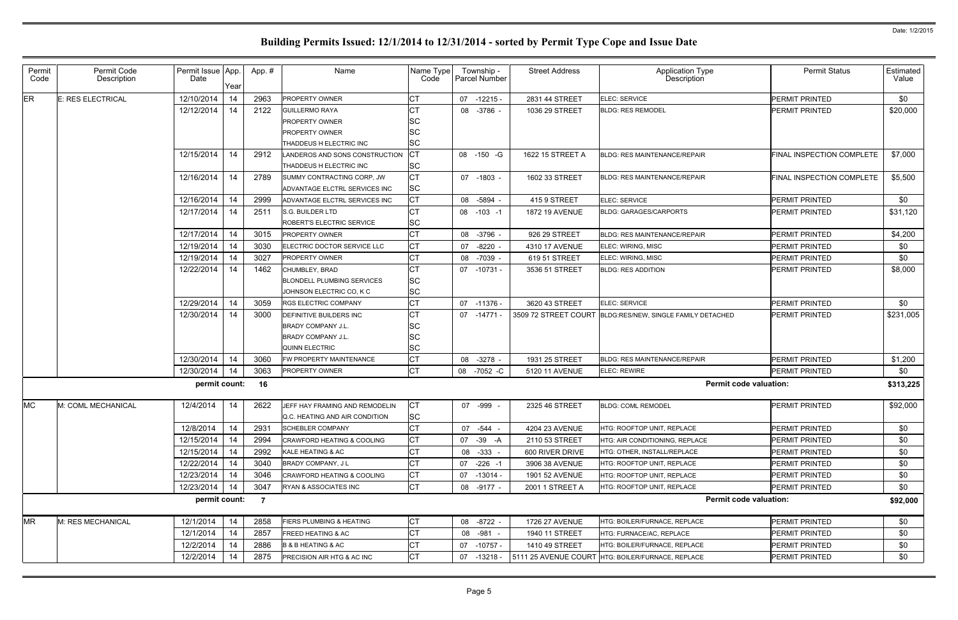| <b>ER</b><br>12/10/2014<br><b>CT</b><br><b>E: RES ELECTRICAL</b><br>14<br>2963<br><b>PROPERTY OWNER</b><br>$07 - 12215 -$<br>2831 44 STREET<br><b>ELEC: SERVICE</b><br>СT<br>12/12/2014<br>14<br>2122<br>$-3786 -$<br><b>GUILLERMO RAYA</b><br>08<br>1036 29 STREET<br><b>BLDG: RES REMODEL</b><br>SC<br><b>PROPERTY OWNER</b> | \$0<br><b>PERMIT PRINTED</b><br>\$20,000<br><b>PERMIT PRINTED</b> |
|--------------------------------------------------------------------------------------------------------------------------------------------------------------------------------------------------------------------------------------------------------------------------------------------------------------------------------|-------------------------------------------------------------------|
|                                                                                                                                                                                                                                                                                                                                |                                                                   |
|                                                                                                                                                                                                                                                                                                                                |                                                                   |
|                                                                                                                                                                                                                                                                                                                                |                                                                   |
| SC<br><b>PROPERTY OWNER</b>                                                                                                                                                                                                                                                                                                    |                                                                   |
| <b>SC</b><br>THADDEUS H ELECTRIC INC                                                                                                                                                                                                                                                                                           |                                                                   |
| <b>CT</b><br>12/15/2014<br>14<br>2912<br>ANDEROS AND SONS CONSTRUCTION<br>08 - 150 - G<br>1622 15 STREET A<br><b>BLDG: RES MAINTENANCE/REPAIR</b>                                                                                                                                                                              | \$7,000<br><b>FINAL INSPECTION COMPLETE</b>                       |
| <b>SC</b><br>THADDEUS H ELECTRIC INC                                                                                                                                                                                                                                                                                           |                                                                   |
| <b>CT</b><br>12/16/2014<br>2789<br>14<br>SUMMY CONTRACTING CORP, JW<br>07 -1803 -<br><b>BLDG: RES MAINTENANCE/REPAIR</b><br>1602 33 STREET                                                                                                                                                                                     | \$5,500<br>FINAL INSPECTION COMPLETE                              |
| <b>SC</b><br>ADVANTAGE ELCTRL SERVICES INC                                                                                                                                                                                                                                                                                     |                                                                   |
| <b>CT</b><br>12/16/2014<br>14<br>2999<br>ADVANTAGE ELCTRL SERVICES INC<br>08 -5894<br>415 9 STREET<br>ELEC: SERVICE                                                                                                                                                                                                            | \$0<br><b>PERMIT PRINTED</b>                                      |
| 12/17/2014<br><b>CT</b><br>2511<br>14<br>S.G. BUILDER LTD<br>08 -103 -1<br><b>BLDG: GARAGES/CARPORTS</b><br>1872 19 AVENUE                                                                                                                                                                                                     | \$31,120<br><b>PERMIT PRINTED</b>                                 |
| <b>SC</b><br>ROBERT'S ELECTRIC SERVICE                                                                                                                                                                                                                                                                                         |                                                                   |
| <b>CT</b><br>12/17/2014<br>14<br>3015<br><b>PROPERTY OWNER</b><br>-3796 -<br>926 29 STREET<br><b>BLDG: RES MAINTENANCE/REPAIR</b><br>08                                                                                                                                                                                        | <b>PERMIT PRINTED</b><br>\$4,200                                  |
| <b>CT</b><br>12/19/2014<br>3030<br>14<br>ELECTRIC DOCTOR SERVICE LLC<br>$-8220$<br>ELEC: WIRING, MISC<br>07<br>4310 17 AVENUE                                                                                                                                                                                                  | \$0<br><b>PERMIT PRINTED</b>                                      |
| <b>CT</b><br>12/19/2014<br>14<br>3027<br><b>PROPERTY OWNER</b><br>-7039<br>ELEC: WIRING, MISC<br>08<br>619 51 STREET                                                                                                                                                                                                           | \$0<br><b>PERMIT PRINTED</b>                                      |
| <b>CT</b><br>12/22/2014<br>1462<br>14<br>CHUMBLEY, BRAD<br>07<br>-10731 -<br>3536 51 STREET<br><b>BLDG: RES ADDITION</b>                                                                                                                                                                                                       | \$8,000<br><b>PERMIT PRINTED</b>                                  |
| <b>SC</b><br><b>BLONDELL PLUMBING SERVICES</b>                                                                                                                                                                                                                                                                                 |                                                                   |
| <b>SC</b><br>JOHNSON ELECTRIC CO, K C                                                                                                                                                                                                                                                                                          |                                                                   |
| <b>CT</b><br>12/29/2014<br>14<br>3059<br>07 -11376 -<br>3620 43 STREET<br><b>RGS ELECTRIC COMPANY</b><br>ELEC: SERVICE                                                                                                                                                                                                         | \$0<br><b>PERMIT PRINTED</b>                                      |
| <b>CT</b><br>12/30/2014<br>14<br>3000<br>07 -14771 -<br>3509 72 STREET COURT BLDG:RES/NEW, SINGLE FAMILY DETACHED<br><b>DEFINITIVE BUILDERS INC</b>                                                                                                                                                                            | \$231,005<br><b>PERMIT PRINTED</b>                                |
| SC<br><b>BRADY COMPANY J.L.</b>                                                                                                                                                                                                                                                                                                |                                                                   |
| <b>SC</b><br><b>BRADY COMPANY J.L.</b>                                                                                                                                                                                                                                                                                         |                                                                   |
| <b>SC</b><br>QUINN ELECTRIC                                                                                                                                                                                                                                                                                                    |                                                                   |
| 12/30/2014<br>14<br><b>CT</b><br>3060<br>$-3278 -$<br>1931 25 STREET<br>FW PROPERTY MAINTENANCE<br>08<br><b>BLDG: RES MAINTENANCE/REPAIR</b>                                                                                                                                                                                   | <b>PERMIT PRINTED</b><br>\$1,200                                  |
| <b>CT</b><br>12/30/2014<br>3063<br>14<br>PROPERTY OWNER<br>08 -7052 -C<br>5120 11 AVENUE<br><b>ELEC: REWIRE</b>                                                                                                                                                                                                                | \$0<br>PERMIT PRINTED                                             |
| permit count:<br>16                                                                                                                                                                                                                                                                                                            | <b>Permit code valuation:</b><br>\$313,225                        |
| <b>MC</b><br><b>CT</b><br>2622<br>M: COML MECHANICAL<br>12/4/2014<br>14<br>JEFF HAY FRAMING AND REMODELIN<br>07 -999 -<br>2325 46 STREET<br><b>BLDG: COML REMODEL</b><br><b>SC</b><br>Q.C. HEATING AND AIR CONDITION                                                                                                           | \$92,000<br><b>PERMIT PRINTED</b>                                 |
| <b>CT</b><br>12/8/2014<br>14<br>2931<br>07 - 544 -<br>4204 23 AVENUE<br><b>SCHEBLER COMPANY</b><br>HTG: ROOFTOP UNIT, REPLACE                                                                                                                                                                                                  | \$0<br><b>PERMIT PRINTED</b>                                      |
| 12/15/2014<br>2994<br><b>CT</b><br>14<br>CRAWFORD HEATING & COOLING<br>07 - 39 - A<br>2110 53 STREET<br>HTG: AIR CONDITIONING, REPLACE                                                                                                                                                                                         | \$0<br><b>PERMIT PRINTED</b>                                      |
| <b>CT</b><br>12/15/2014<br>2992<br>14<br>KALE HEATING & AC<br>08 -333 -<br>600 RIVER DRIVE<br>HTG: OTHER, INSTALL/REPLACE                                                                                                                                                                                                      | \$0<br><b>PERMIT PRINTED</b>                                      |
| <b>CT</b><br>12/22/2014<br>3040<br>14<br><b>BRADY COMPANY, JL</b><br>07 -226 -1<br>3906 38 AVENUE<br>HTG: ROOFTOP UNIT, REPLACE                                                                                                                                                                                                | \$0<br><b>PERMIT PRINTED</b>                                      |
| <b>CT</b><br>12/23/2014<br>3046<br>14<br><b>CRAWFORD HEATING &amp; COOLING</b><br>07 -13014 -<br>HTG: ROOFTOP UNIT, REPLACE<br>1901 52 AVENUE                                                                                                                                                                                  | \$0<br><b>PERMIT PRINTED</b>                                      |
| <b>CT</b><br>12/23/2014<br>3047<br>14<br>RYAN & ASSOCIATES INC<br>08 -9177 -<br>2001 1 STREET A<br>HTG: ROOFTOP UNIT, REPLACE                                                                                                                                                                                                  | \$0<br><b>PERMIT PRINTED</b>                                      |
| permit count:<br>$\overline{7}$                                                                                                                                                                                                                                                                                                | <b>Permit code valuation:</b><br>\$92,000                         |
| <b>CT</b><br><b>MR</b><br>12/1/2014<br>2858<br>M: RES MECHANICAL<br>14<br><b>IERS PLUMBING &amp; HEATING</b><br>08 -8722 -<br>1726 27 AVENUE<br>HTG: BOILER/FURNACE, REPLACE                                                                                                                                                   | \$0<br>PERMIT PRINTED                                             |
| <b>CT</b><br>12/1/2014<br>14<br>2857<br><b>FREED HEATING &amp; AC</b><br>08 -981 -<br>1940 11 STREET<br>HTG: FURNACE/AC, REPLACE                                                                                                                                                                                               | \$0<br><b>PERMIT PRINTED</b>                                      |
| <b>CT</b><br>12/2/2014<br>2886<br>14<br><b>B &amp; B HEATING &amp; AC</b><br>07 -10757 -<br>1410 49 STREET<br>HTG: BOILER/FURNACE, REPLACE                                                                                                                                                                                     | \$0<br><b>PERMIT PRINTED</b>                                      |
| <b>CT</b><br>12/2/2014<br>14<br>2875<br>PRECISION AIR HTG & AC INC<br>HTG: BOILER/FURNACE, REPLACE<br>07<br>$-13218 -$<br>5111 25 AVENUE COURT                                                                                                                                                                                 | \$0<br>PERMIT PRINTED                                             |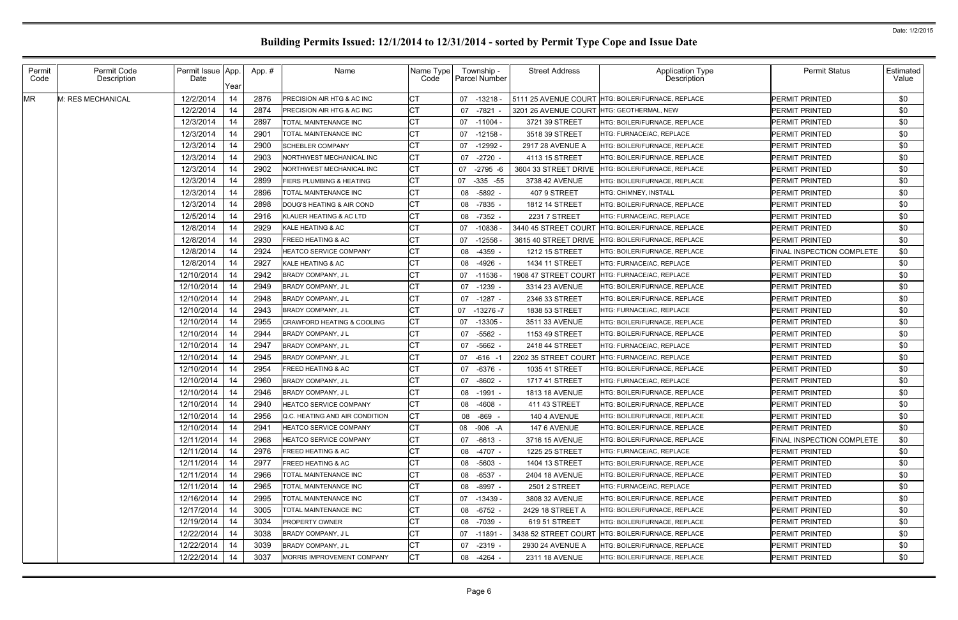| Permit<br>Code | Permit Code<br>Description | Permit Issue App.<br>Date | Year | App.# | Name                                  | Name Type<br>Code | Township -<br>Parcel Number | <b>Street Address</b> | <b>Application Type</b><br>Description | <b>Permit Status</b>             | Estimated<br>Value |
|----------------|----------------------------|---------------------------|------|-------|---------------------------------------|-------------------|-----------------------------|-----------------------|----------------------------------------|----------------------------------|--------------------|
| <b>MR</b>      | M: RES MECHANICAL          | 12/2/2014                 | 14   | 2876  | <b>PRECISION AIR HTG &amp; AC INC</b> | <b>CT</b>         | -13218 -<br>07              | 5111 25 AVENUE COURT  | <b>HTG: BOILER/FURNACE, REPLACE</b>    | <b>PERMIT PRINTED</b>            | \$0                |
|                |                            | 12/2/2014                 | 14   | 2874  | <b>PRECISION AIR HTG &amp; AC INC</b> | <b>CT</b>         | -7821<br>07                 | 3201 26 AVENUE COURT  | <b>HTG: GEOTHERMAL, NEW</b>            | <b>PERMIT PRINTED</b>            | \$0                |
|                |                            | 12/3/2014                 | 14   | 2897  | ITOTAL MAINTENANCE INC                | <b>CT</b>         | 07 -11004 -                 | 3721 39 STREET        | HTG: BOILER/FURNACE. REPLACE           | <b>PERMIT PRINTED</b>            | \$0                |
|                |                            | 12/3/2014                 | 14   | 2901  | <b>TOTAL MAINTENANCE INC</b>          | <b>CT</b>         | 07<br>$-12158 -$            | 3518 39 STREET        | <b>HTG: FURNACE/AC, REPLACE</b>        | <b>PERMIT PRINTED</b>            | \$0                |
|                |                            | 12/3/2014                 | 14   | 2900  | <b>SCHEBLER COMPANY</b>               | <b>CT</b>         | -12992 -<br>07              | 2917 28 AVENUE A      | HTG: BOILER/FURNACE, REPLACE           | <b>IPERMIT PRINTED</b>           | \$0                |
|                |                            | 12/3/2014                 | 14   | 2903  | NORTHWEST MECHANICAL INC              | <b>CT</b>         | $-2720 -$<br>07             | 4113 15 STREET        | HTG: BOILER/FURNACE, REPLACE           | <b>PERMIT PRINTED</b>            | \$0                |
|                |                            | 12/3/2014                 | 14   | 2902  | NORTHWEST MECHANICAL INC              | <b>CT</b>         | 07<br>$-2795 - 6$           | 3604 33 STREET DRIVE  | IHTG: BOILER/FURNACE. REPLACE          | <b>PERMIT PRINTED</b>            | \$0                |
|                |                            | 12/3/2014                 | 14   | 2899  | <b>FIERS PLUMBING &amp; HEATING</b>   | <b>CT</b>         | $-335 - 55$<br>07           | 3738 42 AVENUE        | HTG: BOILER/FURNACE, REPLACE           | <b>PERMIT PRINTED</b>            | \$0                |
|                |                            | 12/3/2014                 | 14   | 2896  | ITOTAL MAINTENANCE INC                | <b>CT</b>         | 08<br>-5892 -               | 407 9 STREET          | <b>HTG: CHIMNEY, INSTALL</b>           | <b>IPERMIT PRINTED</b>           | \$0                |
|                |                            | 12/3/2014                 | 14   | 2898  | DOUG'S HEATING & AIR COND             | <b>CT</b>         | 08<br>-7835 -               | 1812 14 STREET        | HTG: BOILER/FURNACE, REPLACE           | <b>PERMIT PRINTED</b>            | \$0                |
|                |                            | 12/5/2014                 | 14   | 2916  | KLAUER HEATING & AC LTD               | <b>CT</b>         | 08<br>-7352 -               | 2231 7 STREET         | HTG: FURNACE/AC, REPLACE               | <b>IPERMIT PRINTED</b>           | \$0                |
|                |                            | 12/8/2014                 | 14   | 2929  | KALE HEATING & AC                     | <b>CT</b>         | $-10836 -$<br>07            | 3440 45 STREET COURT  | HTG: BOILER/FURNACE, REPLACE           | <b>PERMIT PRINTED</b>            | \$0                |
|                |                            | 12/8/2014                 | 14   | 2930  | <b>FREED HEATING &amp; AC</b>         | <b>CT</b>         | -12556<br>07                | 3615 40 STREET DRIVE  | <b>HTG: BOILER/FURNACE, REPLACE</b>    | <b>PERMIT PRINTED</b>            | \$0                |
|                |                            | 12/8/2014                 | 14   | 2924  | HEATCO SERVICE COMPANY                | <b>CT</b>         | 08<br>-4359                 | 1212 15 STREET        | HTG: BOILER/FURNACE, REPLACE           | FINAL INSPECTION COMPLETE        | \$0                |
|                |                            | 12/8/2014                 | 14   | 2927  | KALE HEATING & AC                     | <b>CT</b>         | 08<br>-4926 -               | 1434 11 STREET        | HTG: FURNACE/AC, REPLACE               | <b>PERMIT PRINTED</b>            | \$0                |
|                |                            | 12/10/2014                | 14   | 2942  | BRADY COMPANY, J L                    | <b>CT</b>         | $-11536$<br>07              | 1908 47 STREET COURT  | <b>HTG: FURNACE/AC, REPLACE</b>        | <b>PERMIT PRINTED</b>            | \$0                |
|                |                            | 12/10/2014                | 14   | 2949  | <b>BRADY COMPANY, JL</b>              | <b>CT</b>         | 07<br>-1239 -               | 3314 23 AVENUE        | HTG: BOILER/FURNACE, REPLACE           | <b>PERMIT PRINTED</b>            | \$0                |
|                |                            | 12/10/2014                | 14   | 2948  | <b>BRADY COMPANY, JL</b>              | <b>CT</b>         | -1287 -<br>07               | 2346 33 STREET        | HTG: BOILER/FURNACE, REPLACE           | <b>PERMIT PRINTED</b>            | \$0                |
|                |                            | 12/10/2014                | 14   | 2943  | BRADY COMPANY, J L                    | <b>CT</b>         | $-13276 - 7$<br>07          | 1838 53 STREET        | <b>HTG: FURNACE/AC, REPLACE</b>        | <b>PERMIT PRINTED</b>            | \$0                |
|                |                            | 12/10/2014                | 14   | 2955  | <b>CRAWFORD HEATING &amp; COOLING</b> | <b>CT</b>         | -13305 -<br>07              | 3511 33 AVENUE        | HTG: BOILER/FURNACE, REPLACE           | <b>PERMIT PRINTED</b>            | \$0                |
|                |                            | 12/10/2014                | 14   | 2944  | <b>BRADY COMPANY, JL</b>              | <b>CT</b>         | 07<br>-5562 -               | 1153 49 STREET        | HTG: BOILER/FURNACE, REPLACE           | <b>IPERMIT PRINTED</b>           | \$0                |
|                |                            | 12/10/2014                | 14   | 2947  | <b>BRADY COMPANY, JL</b>              | <b>CT</b>         | $-5662 -$<br>07             | 2418 44 STREET        | HTG: FURNACE/AC, REPLACE               | <b>PERMIT PRINTED</b>            | \$0                |
|                |                            | 12/10/2014                | 14   | 2945  | <b>BRADY COMPANY, JL</b>              | <b>CT</b>         | 07 -616 -1                  | 2202 35 STREET COURT  | <b>I</b> HTG: FURNACE/AC. REPLACE      | <b>IPERMIT PRINTED</b>           | \$0                |
|                |                            | 12/10/2014                | 14   | 2954  | <b>FREED HEATING &amp; AC</b>         | <b>CT</b>         | $-6376 -$<br>07             | 1035 41 STREET        | HTG: BOILER/FURNACE, REPLACE           | <b>PERMIT PRINTED</b>            | \$0                |
|                |                            | 12/10/2014                | 14   | 2960  | <b>BRADY COMPANY, JL</b>              | <b>CT</b>         | $-8602 -$<br>07             | 1717 41 STREET        | <b>HTG: FURNACE/AC. REPLACE</b>        | <b>PERMIT PRINTED</b>            | \$0                |
|                |                            | 12/10/2014                | 14   | 2946  | <b>BRADY COMPANY, JL</b>              | <b>CT</b>         | -1991 -<br>08               | <b>1813 18 AVENUE</b> | HTG: BOILER/FURNACE, REPLACE           | <b>PERMIT PRINTED</b>            | \$0                |
|                |                            | 12/10/2014                | 14   | 2940  | HEATCO SERVICE COMPANY                | <b>CT</b>         | 08<br>-4608 -               | 411 43 STREET         | HTG: BOILER/FURNACE, REPLACE           | <b>PERMIT PRINTED</b>            | \$0                |
|                |                            | 12/10/2014                | 14   | 2956  | Q.C. HEATING AND AIR CONDITION        | <b>ICT</b>        | 08 -869 -                   | 140 4 AVENUE          | HTG: BOILER/FURNACE, REPLACE           | <b>PERMIT PRINTED</b>            | \$0                |
|                |                            | 12/10/2014                | 14   | 2941  | <b>HEATCO SERVICE COMPANY</b>         | <b>CT</b>         | 08 -906 -A                  | 147 6 AVENUE          | <b>HTG: BOILER/FURNACE, REPLACE</b>    | <b>PERMIT PRINTED</b>            | \$0                |
|                |                            | 12/11/2014                | 14   | 2968  | <b>HEATCO SERVICE COMPANY</b>         | <b>CT</b>         | 07 -6613 -                  | 3716 15 AVENUE        | <b>HTG: BOILER/FURNACE, REPLACE</b>    | <b>FINAL INSPECTION COMPLETE</b> | \$0                |
|                |                            | 12/11/2014                | 14   | 2976  | <b>FREED HEATING &amp; AC</b>         | <b>CT</b>         | 08 -4707 -                  | 1225 25 STREET        | <b>HTG: FURNACE/AC. REPLACE</b>        | <b>PERMIT PRINTED</b>            | \$0                |
|                |                            | 12/11/2014                | 14   | 2977  | <b>FREED HEATING &amp; AC</b>         | <b>CT</b>         | 08 -5603 -                  | 1404 13 STREET        | HTG: BOILER/FURNACE, REPLACE           | <b>PERMIT PRINTED</b>            | \$0                |
|                |                            | 12/11/2014                | 14   | 2966  | TOTAL MAINTENANCE INC                 | <b>CT</b>         | 08 -6537 -                  | 2404 18 AVENUE        | HTG: BOILER/FURNACE, REPLACE           | <b>PERMIT PRINTED</b>            | \$0                |
|                |                            | 12/11/2014                | 14   | 2965  | TOTAL MAINTENANCE INC                 | <b>CT</b>         | -8997 -<br>08               | 2501 2 STREET         | HTG: FURNACE/AC, REPLACE               | <b>PERMIT PRINTED</b>            | \$0                |
|                |                            | 12/16/2014                | 14   | 2995  | <b>TOTAL MAINTENANCE INC</b>          | <b>CT</b>         | 07 -13439 -                 | 3808 32 AVENUE        | <b>HTG: BOILER/FURNACE, REPLACE</b>    | <b>PERMIT PRINTED</b>            | \$0                |
|                |                            | 12/17/2014                | 14   | 3005  | <b>TOTAL MAINTENANCE INC</b>          | <b>CT</b>         | -6752 -<br>08               | 2429 18 STREET A      | <b>HTG: BOILER/FURNACE. REPLACE</b>    | <b>PERMIT PRINTED</b>            | \$0                |
|                |                            | 12/19/2014                | 14   | 3034  | <b>PROPERTY OWNER</b>                 | <b>CT</b>         | 08 -7039 -                  | 619 51 STREET         | HTG: BOILER/FURNACE, REPLACE           | <b>PERMIT PRINTED</b>            | \$0                |
|                |                            | 12/22/2014                | 14   | 3038  | <b>BRADY COMPANY, JL</b>              | СT                | 07 -11891                   | 3438 52 STREET COURT  | HTG: BOILER/FURNACE, REPLACE           | <b>PERMIT PRINTED</b>            | \$0                |
|                |                            | 12/22/2014                | 14   | 3039  | BRADY COMPANY, J L                    | СT                | 07 -2319 -                  | 2930 24 AVENUE A      | HTG: BOILER/FURNACE, REPLACE           | <b>PERMIT PRINTED</b>            | \$0                |
|                |                            | 12/22/2014                | 14   | 3037  | MORRIS IMPROVEMENT COMPANY            | <b>CT</b>         | 08 -4264 -                  | 2311 18 AVENUE        | HTG: BOILER/FURNACE, REPLACE           | <b>PERMIT PRINTED</b>            | \$0                |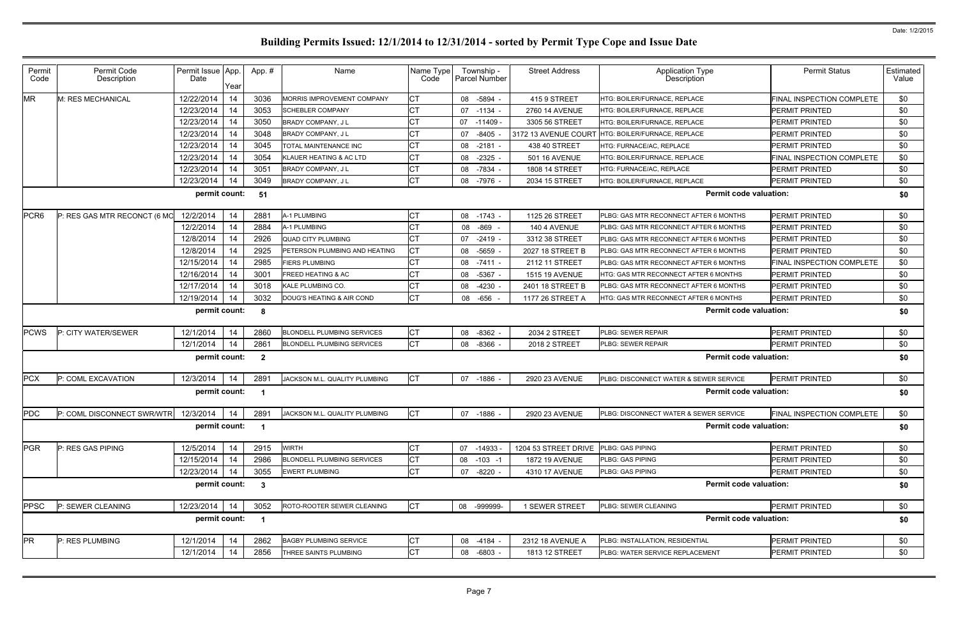| Permit           | Permit Code                                                 | Permit Issue App. |      | App.#                   | Name                              | Name Type | Township -           | <b>Street Address</b> | <b>Application Type</b>                            | <b>Permit Status</b>       | Estimated |  |  |  |
|------------------|-------------------------------------------------------------|-------------------|------|-------------------------|-----------------------------------|-----------|----------------------|-----------------------|----------------------------------------------------|----------------------------|-----------|--|--|--|
| Code             | Description                                                 | Date              | Year |                         |                                   | Code      | <b>Parcel Number</b> |                       | Description                                        |                            | Value     |  |  |  |
| <b>MR</b>        | M: RES MECHANICAL                                           | 12/22/2014        | 14   | 3036                    | MORRIS IMPROVEMENT COMPANY        | <b>CT</b> | 08 -5894 -           | 415 9 STREET          | HTG: BOILER/FURNACE, REPLACE                       | FINAL INSPECTION COMPLETE  | \$0       |  |  |  |
|                  |                                                             | 12/23/2014        | 14   | 3053                    | <b>SCHEBLER COMPANY</b>           | <b>CT</b> | 07 -1134 -           | 2760 14 AVENUE        | HTG: BOILER/FURNACE, REPLACE                       | <b>PERMIT PRINTED</b>      | \$0       |  |  |  |
|                  |                                                             | 12/23/2014        | 14   | 3050                    | <b>BRADY COMPANY, JL</b>          | <b>CT</b> | 07 -11409 -          | 3305 56 STREET        | HTG: BOILER/FURNACE, REPLACE                       | PERMIT PRINTED             | \$0       |  |  |  |
|                  |                                                             | 12/23/2014        | 14   | 3048                    | <b>BRADY COMPANY, JL</b>          | <b>CT</b> | $-8405$<br>07        | 3172 13 AVENUE COURT  | HTG: BOILER/FURNACE, REPLACE                       | <b>PERMIT PRINTED</b>      | \$0       |  |  |  |
|                  |                                                             | 12/23/2014        | 14   | 3045                    | TOTAL MAINTENANCE INC             | <b>CT</b> | 08 -2181             | 438 40 STREET         | HTG: FURNACE/AC, REPLACE                           | PERMIT PRINTED             | \$0       |  |  |  |
|                  |                                                             | 12/23/2014        | 14   | 3054                    | KLAUER HEATING & AC LTD           | <b>CT</b> | $-2325$<br>08        | 501 16 AVENUE         | HTG: BOILER/FURNACE, REPLACE                       | FINAL INSPECTION COMPLETE  | \$0       |  |  |  |
|                  |                                                             | 12/23/2014        | 14   | 3051                    | BRADY COMPANY, J L                | <b>CT</b> | 08 -7834 -           | 1808 14 STREET        | HTG: FURNACE/AC, REPLACE                           | PERMIT PRINTED             | \$0       |  |  |  |
|                  |                                                             | 12/23/2014        | 14   | 3049                    | <b>BRADY COMPANY, JL</b>          | <b>CT</b> | $-7976 -$<br>08      | 2034 15 STREET        | HTG: BOILER/FURNACE, REPLACE                       | <b>PERMIT PRINTED</b>      | \$0       |  |  |  |
|                  | permit count:<br><b>Permit code valuation:</b><br>51<br>\$0 |                   |      |                         |                                   |           |                      |                       |                                                    |                            |           |  |  |  |
| PCR <sub>6</sub> | P: RES GAS MTR RECONCT (6 MO                                | 12/2/2014         | 14   | 2881                    | A-1 PLUMBING                      | <b>CT</b> | 08 -1743 -           | 1125 26 STREET        | PLBG: GAS MTR RECONNECT AFTER 6 MONTHS             | PERMIT PRINTED             | \$0       |  |  |  |
|                  |                                                             | 12/2/2014         | 14   | 2884                    | A-1 PLUMBING                      | <b>CT</b> | -869<br>08           | 140 4 AVENUE          | PLBG: GAS MTR RECONNECT AFTER 6 MONTHS             | PERMIT PRINTED             | \$0       |  |  |  |
|                  |                                                             | 12/8/2014         | 14   | 2926                    | <b>QUAD CITY PLUMBING</b>         | <b>CT</b> | $-2419 -$<br>07      | 3312 38 STREET        | PLBG: GAS MTR RECONNECT AFTER 6 MONTHS             | PERMIT PRINTED             | \$0       |  |  |  |
|                  |                                                             | 12/8/2014         | 14   | 2925                    | PETERSON PLUMBING AND HEATING     | <b>CT</b> | -5659<br>08          | 2027 18 STREET B      | PLBG: GAS MTR RECONNECT AFTER 6 MONTHS             | <b>PERMIT PRINTED</b>      | \$0       |  |  |  |
|                  |                                                             | 12/15/2014        | 14   | 2985                    | <b>FIERS PLUMBING</b>             | <b>CT</b> | $-7411 -$<br>08      | 2112 11 STREET        | PLBG: GAS MTR RECONNECT AFTER 6 MONTHS             | FINAL INSPECTION COMPLETE  | \$0       |  |  |  |
|                  |                                                             | 12/16/2014        | 14   | 3001                    | <b>FREED HEATING &amp; AC</b>     | <b>CT</b> | 08<br>$-5367 -$      | 1515 19 AVENUE        | HTG: GAS MTR RECONNECT AFTER 6 MONTHS              | PERMIT PRINTED             | \$0       |  |  |  |
|                  |                                                             | 12/17/2014        | 14   | 3018                    | KALE PLUMBING CO.                 | <b>CT</b> | $-4230 -$<br>08      | 2401 18 STREET B      | PLBG: GAS MTR RECONNECT AFTER 6 MONTHS             | PERMIT PRINTED             | \$0       |  |  |  |
|                  |                                                             | 12/19/2014        | 14   | 3032                    | DOUG'S HEATING & AIR COND         | <b>CT</b> | -656<br>08           | 1177 26 STREET A      | HTG: GAS MTR RECONNECT AFTER 6 MONTHS              | <b>PERMIT PRINTED</b>      | \$0       |  |  |  |
|                  |                                                             | permit count:     |      | - 8                     |                                   |           |                      |                       | <b>Permit code valuation:</b>                      |                            | \$0       |  |  |  |
| <b>PCWS</b>      | P: CITY WATER/SEWER                                         | 12/1/2014         | 14   | 2860                    | <b>BLONDELL PLUMBING SERVICES</b> | <b>CT</b> | 08<br>$-8362 -$      | 2034 2 STREET         | PLBG: SEWER REPAIR                                 | PERMIT PRINTED             | \$0       |  |  |  |
|                  |                                                             | 12/1/2014         | 14   | 2861                    | <b>BLONDELL PLUMBING SERVICES</b> | <b>CT</b> | 08<br>-8366          | 2018 2 STREET         | PLBG: SEWER REPAIR                                 | PERMIT PRINTED             | \$0       |  |  |  |
|                  |                                                             | permit count:     |      | $\overline{\mathbf{2}}$ |                                   |           |                      |                       | <b>Permit code valuation:</b>                      |                            | \$0       |  |  |  |
| <b>PCX</b>       | P: COML EXCAVATION                                          | 12/3/2014         | -14  | 2891                    | JACKSON M.L. QUALITY PLUMBING     | <b>CT</b> | 07<br>-1886          | 2920 23 AVENUE        | PLBG: DISCONNECT WATER & SEWER SERVICE             | <b>PERMIT PRINTED</b>      | \$0       |  |  |  |
|                  |                                                             | permit count:     |      |                         |                                   |           |                      |                       | <b>Permit code valuation:</b>                      |                            | \$0       |  |  |  |
| PDC              | P: COML DISCONNECT SWR/WTR   12/3/2014   14                 |                   |      | 2891                    | JACKSON M.L. QUALITY PLUMBING     | <b>CT</b> | 07 -1886 -           | 2920 23 AVENUE        | <b>IPLBG: DISCONNECT WATER &amp; SEWER SERVICE</b> | FINAL INSPECTION COMPLETE_ | \$0       |  |  |  |
|                  |                                                             | permit count:     |      | $\blacksquare$          |                                   |           |                      |                       | <b>Permit code valuation:</b>                      |                            | \$0       |  |  |  |
| <b>PGR</b>       | P: RES GAS PIPING                                           | 12/5/2014         | 14   | 2915                    | <b>WIRTH</b>                      | <b>CT</b> | 07 -14933            | 1204 53 STREET DRIVE  | PLBG: GAS PIPING                                   | PERMIT PRINTED             | \$0       |  |  |  |
|                  |                                                             | 12/15/2014        | 14   | 2986                    | <b>BLONDELL PLUMBING SERVICES</b> | <b>CT</b> | $-103 - 1$<br>08     | 1872 19 AVENUE        | PLBG: GAS PIPING                                   | PERMIT PRINTED             | \$0       |  |  |  |
|                  |                                                             | 12/23/2014        | 14   | 3055                    | <b>EWERT PLUMBING</b>             | <b>CT</b> | $-8220 -$<br>07      | 4310 17 AVENUE        | PLBG: GAS PIPING                                   | PERMIT PRINTED             | \$0       |  |  |  |
|                  |                                                             | permit count:     |      | $\mathbf{3}$            |                                   |           |                      |                       | <b>Permit code valuation:</b>                      |                            | \$0       |  |  |  |
| <b>PPSC</b>      | P: SEWER CLEANING                                           | 12/23/2014        | -14  | 3052                    | ROTO-ROOTER SEWER CLEANING        | IСТ       | 08 -999999-          | 1 SEWER STREET        | PLBG: SEWER CLEANING                               | PERMIT PRINTED             | \$0       |  |  |  |
|                  |                                                             | permit count:     |      | $\blacksquare$          |                                   |           |                      |                       | <b>Permit code valuation:</b>                      |                            | \$0       |  |  |  |
| <b>PR</b>        | P: RES PLUMBING                                             | 12/1/2014         | -14  | 2862                    | <b>BAGBY PLUMBING SERVICE</b>     | <b>CT</b> | 08 -4184 -           | 2312 18 AVENUE A      | PLBG: INSTALLATION, RESIDENTIAL                    | PERMIT PRINTED             | \$0       |  |  |  |
|                  |                                                             | 12/1/2014         | 14   | 2856                    | <b>THREE SAINTS PLUMBING</b>      | <b>CT</b> | 08 -6803 -           | 1813 12 STREET        | PLBG: WATER SERVICE REPLACEMENT                    | PERMIT PRINTED             | \$0       |  |  |  |
|                  |                                                             |                   |      |                         |                                   |           |                      |                       |                                                    |                            |           |  |  |  |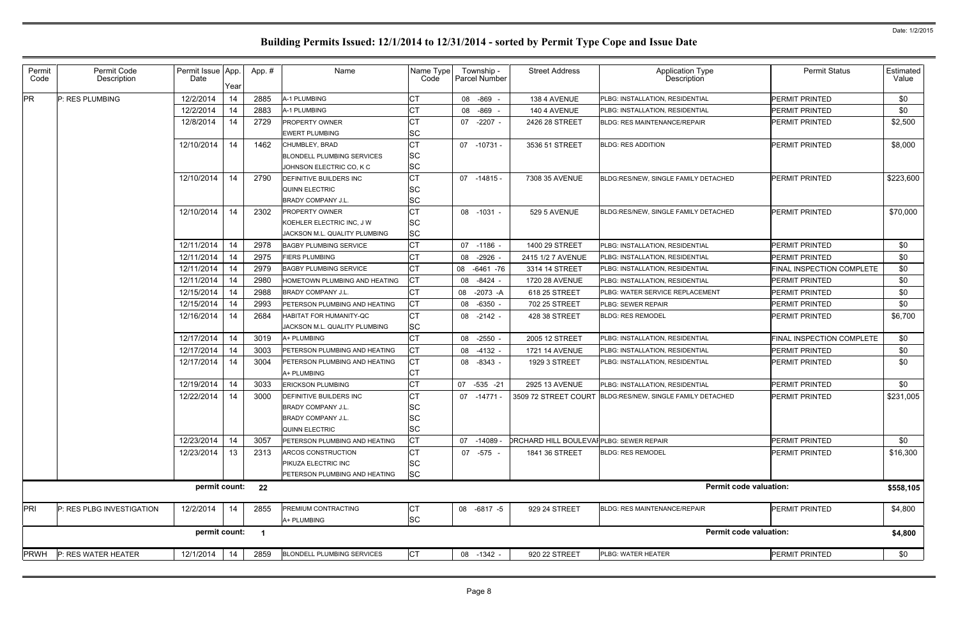| Permit<br>Code | Permit Code<br>Description | Permit Issue App.<br>Date | Year | App.# | Name                                 | Name Type<br>Code | Township -<br><b>Parcel Number</b> | <b>Street Address</b>                           | <b>Application Type</b><br>Description                    | <b>Permit Status</b>      | Estimated<br>Value |
|----------------|----------------------------|---------------------------|------|-------|--------------------------------------|-------------------|------------------------------------|-------------------------------------------------|-----------------------------------------------------------|---------------------------|--------------------|
| <b>PR</b>      | P: RES PLUMBING            | 12/2/2014                 | 14   | 2885  | A-1 PLUMBING                         | <b>CT</b>         | 08 -869 -                          | 138 4 AVENUE                                    | PLBG: INSTALLATION, RESIDENTIAL                           | <b>PERMIT PRINTED</b>     | \$0                |
|                |                            | 12/2/2014                 | 14   | 2883  | A-1 PLUMBING                         | <b>CT</b>         | 08 -869 -                          | 140 4 AVENUE                                    | PLBG: INSTALLATION, RESIDENTIAL                           | <b>PERMIT PRINTED</b>     | \$0                |
|                |                            | 12/8/2014                 | 14   | 2729  | <b>PROPERTY OWNER</b>                | <b>CT</b>         | 07 -2207 -                         | 2426 28 STREET                                  | <b>BLDG: RES MAINTENANCE/REPAIR</b>                       | <b>PERMIT PRINTED</b>     | \$2,500            |
|                |                            |                           |      |       | <b>EWERT PLUMBING</b>                | SC                |                                    |                                                 |                                                           |                           |                    |
|                |                            | 12/10/2014                | 14   | 1462  | CHUMBLEY, BRAD                       | <b>CT</b>         | 07 -10731 -                        | 3536 51 STREET                                  | <b>BLDG: RES ADDITION</b>                                 | <b>PERMIT PRINTED</b>     | \$8,000            |
|                |                            |                           |      |       | <b>BLONDELL PLUMBING SERVICES</b>    | <b>SC</b>         |                                    |                                                 |                                                           |                           |                    |
|                |                            |                           |      |       | JOHNSON ELECTRIC CO, K C             | <b>SC</b>         |                                    |                                                 |                                                           |                           |                    |
|                |                            | 12/10/2014                | 14   | 2790  | <b>DEFINITIVE BUILDERS INC</b>       | <b>CT</b>         | 07 -14815 -                        | 7308 35 AVENUE                                  | BLDG:RES/NEW, SINGLE FAMILY DETACHED                      | <b>PERMIT PRINTED</b>     | \$223,600          |
|                |                            |                           |      |       | QUINN ELECTRIC                       | SC                |                                    |                                                 |                                                           |                           |                    |
|                |                            |                           |      |       | <b>BRADY COMPANY J.L.</b>            | <b>SC</b>         |                                    |                                                 |                                                           |                           |                    |
|                |                            | 12/10/2014                | 14   | 2302  | <b>PROPERTY OWNER</b>                | <b>CT</b>         | 08 -1031 -                         | 529 5 AVENUE                                    | BLDG:RES/NEW, SINGLE FAMILY DETACHED                      | <b>PERMIT PRINTED</b>     | \$70,000           |
|                |                            |                           |      |       | KOEHLER ELECTRIC INC, J W            | <b>SC</b>         |                                    |                                                 |                                                           |                           |                    |
|                |                            |                           |      |       | JACKSON M.L. QUALITY PLUMBING        | <b>SC</b>         |                                    |                                                 |                                                           |                           |                    |
|                |                            | 12/11/2014                | 14   | 2978  | <b>BAGBY PLUMBING SERVICE</b>        | <b>CT</b>         | 07 -1186 -                         | 1400 29 STREET                                  | PLBG: INSTALLATION, RESIDENTIAL                           | <b>PERMIT PRINTED</b>     | \$0                |
|                |                            | 12/11/2014                | 14   | 2975  | <b>FIERS PLUMBING</b>                | CT                | -2926 -<br>08                      | 2415 1/2 7 AVENUE                               | PLBG: INSTALLATION, RESIDENTIAL                           | <b>PERMIT PRINTED</b>     | \$0                |
|                |                            | 12/11/2014                | 14   | 2979  | <b>BAGBY PLUMBING SERVICE</b>        | <b>CT</b>         | 08<br>-6461 -76                    | 3314 14 STREET                                  | PLBG: INSTALLATION, RESIDENTIAL                           | FINAL INSPECTION COMPLETE | \$0                |
|                |                            | 12/11/2014                | 14   | 2980  | HOMETOWN PLUMBING AND HEATING        | <b>CT</b>         | -8424 -<br>08                      | 1720 28 AVENUE                                  | PLBG: INSTALLATION, RESIDENTIAL                           | <b>PERMIT PRINTED</b>     | \$0                |
|                |                            | 12/15/2014                | 14   | 2988  | <b>BRADY COMPANY J.L.</b>            | <b>CT</b>         | 08 -2073 -A                        | 618 25 STREET                                   | PLBG: WATER SERVICE REPLACEMENT                           | PERMIT PRINTED            | \$0                |
|                |                            | 12/15/2014                | 14   | 2993  | PETERSON PLUMBING AND HEATING        | <b>CT</b>         | -6350 -<br>08                      | 702 25 STREET                                   | PLBG: SEWER REPAIR                                        | <b>PERMIT PRINTED</b>     | \$0                |
|                |                            | 12/16/2014                | 14   | 2684  | HABITAT FOR HUMANITY-QC              | <b>CT</b>         | 08 -2142 -                         | 428 38 STREET                                   | <b>BLDG: RES REMODEL</b>                                  | PERMIT PRINTED            | \$6,700            |
|                |                            |                           |      |       | JACKSON M.L. QUALITY PLUMBING        | <b>SC</b>         |                                    |                                                 |                                                           |                           |                    |
|                |                            | 12/17/2014                | 14   | 3019  | A+ PLUMBING                          | СT                | -2550 -<br>08                      | 2005 12 STREET                                  | PLBG: INSTALLATION, RESIDENTIAL                           | FINAL INSPECTION COMPLETE | \$0                |
|                |                            | 12/17/2014                | 14   | 3003  | PETERSON PLUMBING AND HEATING        | Iст               | 08 -4132 -                         | 1721 14 AVENUE                                  | PLBG: INSTALLATION, RESIDENTIAL                           | <b>PERMIT PRINTED</b>     | \$0                |
|                |                            | 12/17/2014                | 14   | 3004  | <b>PETERSON PLUMBING AND HEATING</b> | <b>CT</b>         | 08 -8343 -                         | 1929 3 STREET                                   | PLBG: INSTALLATION, RESIDENTIAL                           | PERMIT PRINTED            | \$0                |
|                |                            |                           |      |       | A+ PLUMBING                          | <b>CT</b>         |                                    |                                                 |                                                           |                           |                    |
|                |                            | 12/19/2014                | 14   | 3033  | <b>ERICKSON PLUMBING</b>             | <b>CT</b>         | 07 -535 -21                        | 2925 13 AVENUE                                  | PLBG: INSTALLATION, RESIDENTIAL                           | <b>PERMIT PRINTED</b>     | \$0                |
|                |                            | 12/22/2014                | 14   | 3000  | DEFINITIVE BUILDERS INC              | СT                | 07 -14771 -                        |                                                 | 3509 72 STREET COURT BLDG:RES/NEW, SINGLE FAMILY DETACHED | <b>PERMIT PRINTED</b>     | \$231,005          |
|                |                            |                           |      |       | <b>BRADY COMPANY J.L.</b>            | <b>SC</b>         |                                    |                                                 |                                                           |                           |                    |
|                |                            |                           |      |       | <b>BRADY COMPANY J.L.</b>            | <b>SC</b>         |                                    |                                                 |                                                           |                           |                    |
|                |                            |                           |      |       | QUINN ELECTRIC                       | <b>SC</b>         |                                    |                                                 |                                                           |                           |                    |
|                |                            | 12/23/2014                | 14   | 3057  | PETERSON PLUMBING AND HEATING        | <b>CT</b>         | 07<br>$-14089$                     | <b>DRCHARD HILL BOULEVAI PLBG: SEWER REPAIR</b> |                                                           | PERMIT PRINTED            | \$0                |
|                |                            | 12/23/2014                | 13   | 2313  | ARCOS CONSTRUCTION                   | <b>CT</b>         | 07 -575 -                          | 1841 36 STREET                                  | <b>BLDG: RES REMODEL</b>                                  | <b>PERMIT PRINTED</b>     | \$16,300           |
|                |                            |                           |      |       | <b>PIKUZA ELECTRIC INC</b>           | <b>SC</b>         |                                    |                                                 |                                                           |                           |                    |
|                |                            |                           |      |       | PETERSON PLUMBING AND HEATING        | <b>SC</b>         |                                    |                                                 |                                                           |                           |                    |
|                |                            | permit count:             |      | 22    |                                      |                   |                                    |                                                 | <b>Permit code valuation:</b>                             |                           | \$558,105          |
| PRI            | P: RES PLBG INVESTIGATION  | 12/2/2014                 | 14   | 2855  | <b>PREMIUM CONTRACTING</b>           | <b>CT</b>         | 08 -6817 -5                        | 929 24 STREET                                   | <b>BLDG: RES MAINTENANCE/REPAIR</b>                       | <b>PERMIT PRINTED</b>     | \$4,800            |
|                |                            |                           |      |       | A+ PLUMBING                          | <b>SC</b>         |                                    |                                                 |                                                           |                           |                    |
|                |                            | permit count:             |      |       |                                      |                   |                                    |                                                 | <b>Permit code valuation:</b>                             |                           | \$4,800            |
|                |                            |                           |      |       |                                      |                   |                                    |                                                 |                                                           |                           |                    |
| <b>PRWH</b>    | P: RES WATER HEATER        | 12/1/2014                 | 14   | 2859  | <b>BLONDELL PLUMBING SERVICES</b>    | <b>CT</b>         | 08 -1342 -                         | 920 22 STREET                                   | PLBG: WATER HEATER                                        | <b>PERMIT PRINTED</b>     | \$0                |